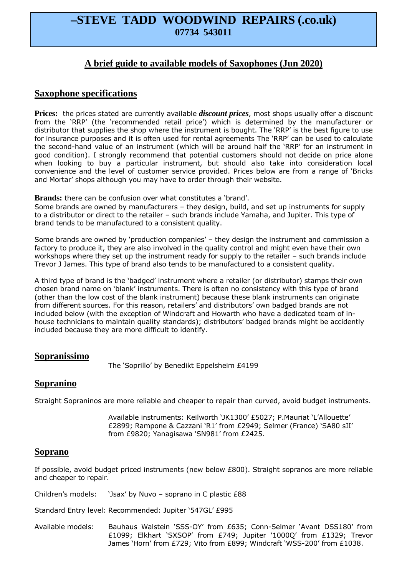# **–STEVE TADD WOODWIND REPAIRS (.co.uk) 07734 543011**

# **A brief guide to available models of Saxophones (Jun 2020)**

### **Saxophone specifications**

**Prices:** the prices stated are currently available *discount prices*, most shops usually offer a discount from the 'RRP' (the 'recommended retail price') which is determined by the manufacturer or distributor that supplies the shop where the instrument is bought. The 'RRP' is the best figure to use for insurance purposes and it is often used for rental agreements The 'RRP' can be used to calculate the second-hand value of an instrument (which will be around half the 'RRP' for an instrument in good condition). I strongly recommend that potential customers should not decide on price alone when looking to buy a particular instrument, but should also take into consideration local convenience and the level of customer service provided. Prices below are from a range of 'Bricks and Mortar' shops although you may have to order through their website.

**Brands:** there can be confusion over what constitutes a 'brand'.

Some brands are owned by manufacturers – they design, build, and set up instruments for supply to a distributor or direct to the retailer – such brands include Yamaha, and Jupiter. This type of brand tends to be manufactured to a consistent quality.

Some brands are owned by 'production companies' – they design the instrument and commission a factory to produce it, they are also involved in the quality control and might even have their own workshops where they set up the instrument ready for supply to the retailer – such brands include Trevor J James. This type of brand also tends to be manufactured to a consistent quality.

A third type of brand is the 'badged' instrument where a retailer (or distributor) stamps their own chosen brand name on 'blank' instruments. There is often no consistency with this type of brand (other than the low cost of the blank instrument) because these blank instruments can originate from different sources. For this reason, retailers' and distributors' own badged brands are not included below (with the exception of Windcraft and Howarth who have a dedicated team of inhouse technicians to maintain quality standards); distributors' badged brands might be accidently included because they are more difficult to identify.

#### **Sopranissimo**

The 'Soprillo' by Benedikt Eppelsheim £4199

# **Sopranino**

Straight Sopraninos are more reliable and cheaper to repair than curved, avoid budget instruments.

 Available instruments: Keilworth 'JK1300' £5027; P.Mauriat 'L'Allouette' £2899; Rampone & Cazzani 'R1' from £2949; Selmer (France) 'SA80 sII' from £9820; Yanagisawa 'SN981' from £2425.

# **Soprano**

If possible, avoid budget priced instruments (new below £800). Straight sopranos are more reliable and cheaper to repair.

Children's models: 'Jsax' by Nuvo – soprano in C plastic £88

Standard Entry level: Recommended: Jupiter '547GL' £995

Available models: Bauhaus Walstein 'SSS-OY' from £635; Conn-Selmer 'Avant DSS180' from £1099; Elkhart 'SXSOP' from £749; Jupiter '1000Q' from £1329; Trevor James 'Horn' from £729; Vito from £899; Windcraft 'WSS-200' from £1038.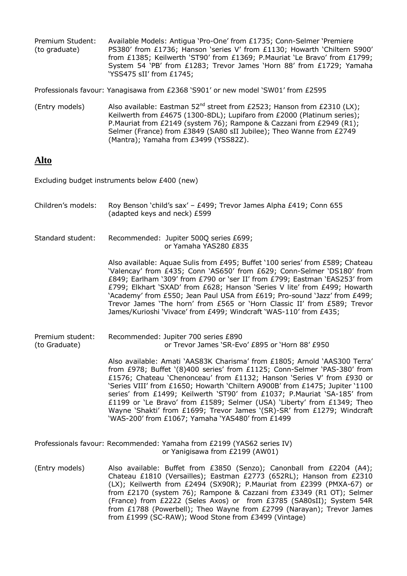| Premium Student: | Available Models: Antiqua 'Pro-One' from £1735; Conn-Selmer 'Premiere     |
|------------------|---------------------------------------------------------------------------|
| (to graduate)    | PS380' from £1736; Hanson 'series V' from £1130; Howarth 'Chiltern S900'  |
|                  | from £1385; Keilwerth 'ST90' from £1369; P.Mauriat 'Le Bravo' from £1799; |
|                  | System 54 'PB' from £1283; Trevor James 'Horn 88' from £1729; Yamaha      |
|                  | 'YSS475 sII' from £1745;                                                  |

Professionals favour: Yanagisawa from £2368 'S901' or new model 'SW01' from £2595

(Entry models) Also available: Eastman  $52^{nd}$  street from £2523; Hanson from £2310 (LX); Keilwerth from £4675 (1300-8DL); Lupifaro from £2000 (Platinum series); P.Mauriat from £2149 (system 76); Rampone & Cazzani from £2949 (R1); Selmer (France) from £3849 (SA80 sII Jubilee); Theo Wanne from £2749 (Mantra); Yamaha from £3499 (YSS82Z).

#### **Alto**

Excluding budget instruments below £400 (new)

| Children's models:                | Roy Benson 'child's sax' - £499; Trevor James Alpha £419; Conn 655<br>(adapted keys and neck) £599                                                                                                                                                                                                                                                                                                                                                                                                                                                                                                    |
|-----------------------------------|-------------------------------------------------------------------------------------------------------------------------------------------------------------------------------------------------------------------------------------------------------------------------------------------------------------------------------------------------------------------------------------------------------------------------------------------------------------------------------------------------------------------------------------------------------------------------------------------------------|
| Standard student:                 | Recommended: Jupiter 500Q series £699;<br>or Yamaha YAS280 £835                                                                                                                                                                                                                                                                                                                                                                                                                                                                                                                                       |
|                                   | Also available: Aquae Sulis from £495; Buffet '100 series' from £589; Chateau<br>'Valencay' from £435; Conn 'AS650' from £629; Conn-Selmer 'DS180' from<br>£849; Earlham '309' from £790 or 'ser II' from £799; Eastman 'EAS253' from<br>£799; Elkhart 'SXAD' from £628; Hanson 'Series V lite' from £499; Howarth<br>'Academy' from £550; Jean Paul USA from £619; Pro-sound 'Jazz' from £499;<br>Trevor James 'The horn' from £565 or 'Horn Classic II' from £589; Trevor<br>James/Kurioshi 'Vivace' from £499; Windcraft 'WAS-110' from £435;                                                      |
| Premium student:<br>(to Graduate) | Recommended: Jupiter 700 series £890<br>or Trevor James 'SR-Evo' £895 or 'Horn 88' £950                                                                                                                                                                                                                                                                                                                                                                                                                                                                                                               |
|                                   | Also available: Amati `AAS83K Charisma' from £1805; Arnold `AAS300 Terra'<br>from £978; Buffet '(8)400 series' from £1125; Conn-Selmer 'PAS-380' from<br>£1576; Chateau 'Chenonceau' from £1132; Hanson 'Series V' from £930 or<br>'Series VIII' from £1650; Howarth 'Chiltern A900B' from £1475; Jupiter '1100<br>series' from £1499; Keilwerth 'ST90' from £1037; P.Mauriat 'SA-185' from<br>£1199 or 'Le Bravo' from £1589; Selmer (USA) 'Liberty' from £1349; Theo<br>Wayne 'Shakti' from £1699; Trevor James '(SR)-SR' from £1279; Windcraft<br>'WAS-200' from £1067; Yamaha 'YAS480' from £1499 |
|                                   | Professionals favour: Recommended: Yamaha from £2199 (YAS62 series IV)<br>or Yanigisawa from £2199 (AW01)                                                                                                                                                                                                                                                                                                                                                                                                                                                                                             |
| (Entry models)                    | Also available: Buffet from £3850 (Senzo); Canonball from £2204 (A4);<br>Chateau £1810 (Versailles); Eastman £2773 (652RL); Hanson from £2310<br>(LX); Keilwerth from £2494 (SX90R); P.Mauriat from £2399 (PMXA-67) or<br>from £2170 (system 76); Rampone & Cazzani from £3349 (R1 OT); Selmer<br>(France) from £2222 (Seles Axos) or from £3785 (SA80sII); System 54R                                                                                                                                                                                                                                |

from £1788 (Powerbell); Theo Wayne from £2799 (Narayan); Trevor James

from £1999 (SC-RAW); Wood Stone from £3499 (Vintage)